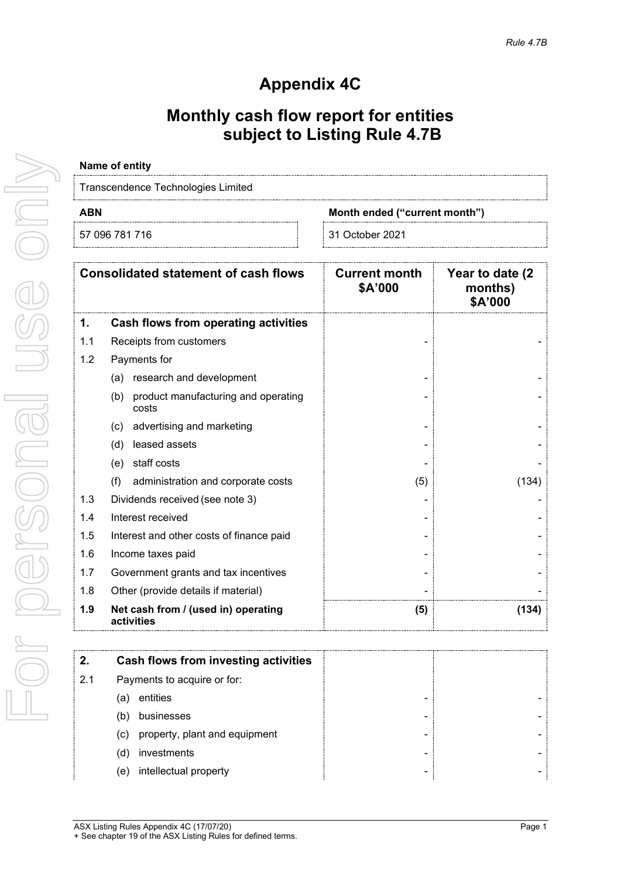# **Appendix 4C**

### **Monthly cash flow report for entities subject to Listing Rule 4.7B**

# **Name of entity** Transcendence Technologies Limited **ABN Month ended ("current month")**

| 57<br>704<br>J96<br>∽<br>ີ | October 2021<br>- 24<br>~ |
|----------------------------|---------------------------|
|                            |                           |

|     | <b>Consolidated statement of cash flows</b>         | <b>Current month</b><br>\$A'000 | Year to date (2)<br>months)<br>\$A'000 |
|-----|-----------------------------------------------------|---------------------------------|----------------------------------------|
| 1.  | Cash flows from operating activities                |                                 |                                        |
| 1.1 | Receipts from customers                             |                                 |                                        |
| 1.2 | Payments for                                        |                                 |                                        |
|     | (a) research and development                        |                                 |                                        |
|     | product manufacturing and operating<br>(b)<br>costs |                                 |                                        |
|     | advertising and marketing<br>(c)                    |                                 |                                        |
|     | leased assets<br>(d)                                |                                 |                                        |
|     | staff costs<br>(e)                                  |                                 |                                        |
|     | (f)<br>administration and corporate costs           | (5)                             | (134)                                  |
| 1.3 | Dividends received (see note 3)                     |                                 |                                        |
| 1.4 | Interest received                                   |                                 |                                        |
| 1.5 | Interest and other costs of finance paid            |                                 |                                        |
| 1.6 | Income taxes paid                                   |                                 |                                        |
| 1.7 | Government grants and tax incentives                |                                 |                                        |
| 1.8 | Other (provide details if material)                 |                                 |                                        |
| 1.9 | Net cash from / (used in) operating<br>activities   | (5)                             | (134)                                  |

| Cash flows from investing activities      |
|-------------------------------------------|
| Payments to acquire or for:               |
| entities<br>а<br>-                        |
| businesses<br>-                           |
| property, plant and equipment<br>(c)<br>- |
| investments<br>d<br>-                     |
| intellectual property<br>e)<br>-          |
|                                           |

For personal use only

VISE ONN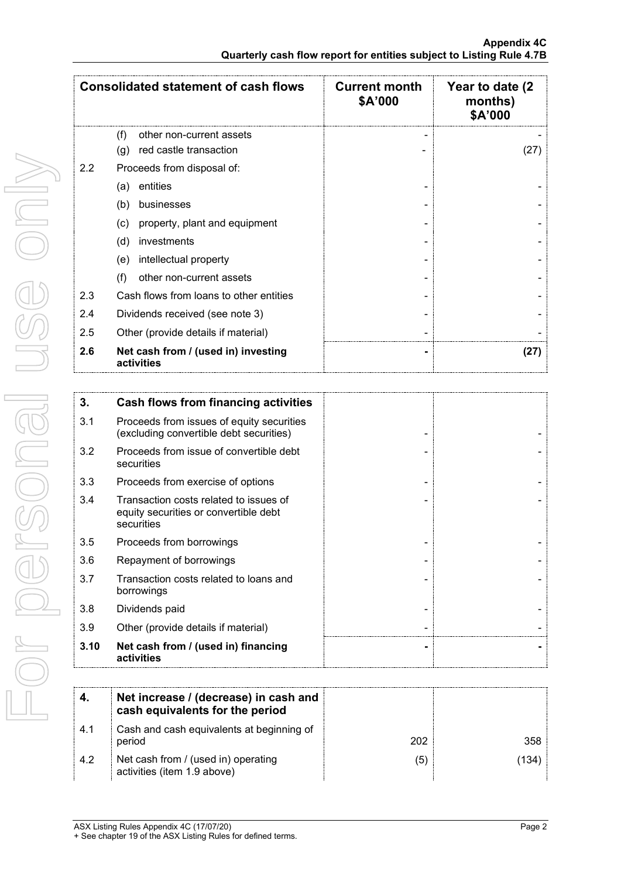|     | <b>Consolidated statement of cash flows</b>       | <b>Current month</b><br>\$A'000 | Year to date (2)<br>months)<br>\$A'000 |
|-----|---------------------------------------------------|---------------------------------|----------------------------------------|
|     | (f)<br>other non-current assets                   |                                 |                                        |
|     | red castle transaction<br>(g)                     |                                 | (27)                                   |
| 2.2 | Proceeds from disposal of:                        |                                 |                                        |
|     | entities<br>(a)                                   |                                 |                                        |
|     | businesses<br>(b)                                 |                                 |                                        |
|     | property, plant and equipment<br>(c)              |                                 |                                        |
|     | investments<br>(d)                                |                                 |                                        |
|     | intellectual property<br>(e)                      |                                 |                                        |
|     | other non-current assets<br>(f)                   |                                 |                                        |
| 2.3 | Cash flows from loans to other entities           |                                 |                                        |
| 2.4 | Dividends received (see note 3)                   |                                 |                                        |
| 2.5 | Other (provide details if material)               |                                 |                                        |
| 2.6 | Net cash from / (used in) investing<br>activities |                                 | (27)                                   |

| 3.   | Cash flows from financing activities                                                          |  |
|------|-----------------------------------------------------------------------------------------------|--|
| 3.1  | Proceeds from issues of equity securities<br>(excluding convertible debt securities)          |  |
| 3.2  | Proceeds from issue of convertible debt<br>securities                                         |  |
| 3.3  | Proceeds from exercise of options                                                             |  |
| 3.4  | Transaction costs related to issues of<br>equity securities or convertible debt<br>securities |  |
| 3.5  | Proceeds from borrowings                                                                      |  |
| 3.6  | Repayment of borrowings                                                                       |  |
| 3.7  | Transaction costs related to loans and<br>borrowings                                          |  |
| 3.8  | Dividends paid                                                                                |  |
| 3.9  | Other (provide details if material)                                                           |  |
| 3.10 | Net cash from / (used in) financing<br>activities                                             |  |

|     | Net increase / (decrease) in cash and<br>cash equivalents for the period |     |     |
|-----|--------------------------------------------------------------------------|-----|-----|
| 4.1 | Cash and cash equivalents at beginning of<br>period                      | 202 | 358 |
| 4.2 | Net cash from / (used in) operating<br>activities (item 1.9 above)       | ΄5  | 134 |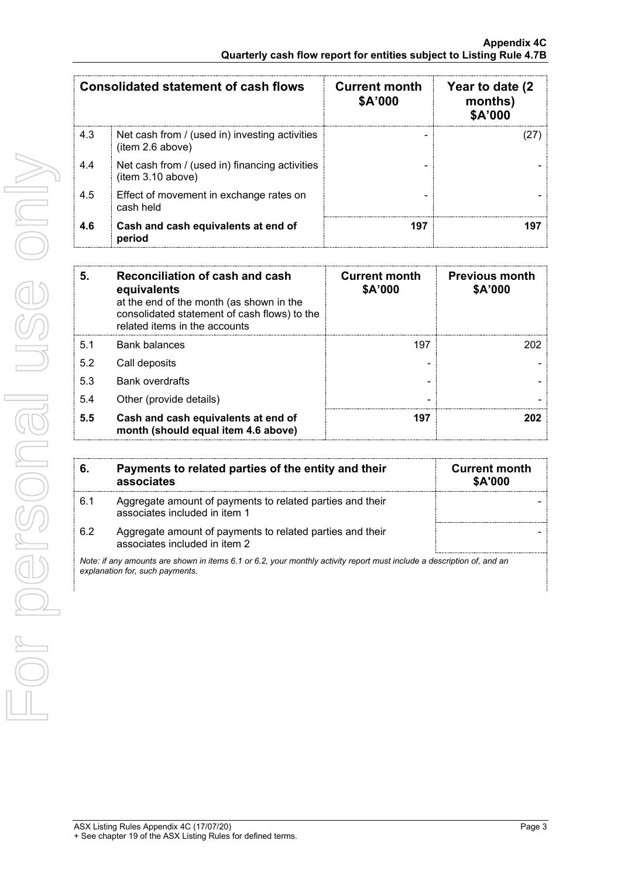| <b>Consolidated statement of cash flows</b> |                                                                     | <b>Current month</b><br>\$A'000 | Year to date (2)<br>months)<br>\$A'000 |
|---------------------------------------------|---------------------------------------------------------------------|---------------------------------|----------------------------------------|
| 4.3                                         | Net cash from / (used in) investing activities<br>(item 2.6 above)  |                                 |                                        |
| 4.4                                         | Net cash from / (used in) financing activities<br>(item 3.10 above) |                                 |                                        |
| 4.5                                         | Effect of movement in exchange rates on<br>cash held                |                                 |                                        |
| 4.6                                         | Cash and cash equivalents at end of<br>period                       | 197                             |                                        |

| 5.  | Reconciliation of cash and cash<br>equivalents<br>at the end of the month (as shown in the<br>consolidated statement of cash flows) to the<br>related items in the accounts | <b>Current month</b><br>\$A'000 | <b>Previous month</b><br>\$A'000 |
|-----|-----------------------------------------------------------------------------------------------------------------------------------------------------------------------------|---------------------------------|----------------------------------|
| 5.1 | <b>Bank balances</b>                                                                                                                                                        | 197                             |                                  |
| 5.2 | Call deposits                                                                                                                                                               |                                 |                                  |
| 5.3 | <b>Bank overdrafts</b>                                                                                                                                                      |                                 |                                  |
| 5.4 | Other (provide details)                                                                                                                                                     |                                 |                                  |
| 5.5 | Cash and cash equivalents at end of<br>month (should equal item 4.6 above)                                                                                                  | 197                             | フハフ                              |

| 6.  | Payments to related parties of the entity and their<br>associates                          | <b>Current month</b><br><b>\$A'000</b> |
|-----|--------------------------------------------------------------------------------------------|----------------------------------------|
| 6.1 | Aggregate amount of payments to related parties and their<br>associates included in item 1 |                                        |
| 62  | Aggregate amount of payments to related parties and their<br>associates included in item 2 |                                        |

*Note: if any amounts are shown in items 6.1 or 6.2, your monthly activity report must include a description of, and an explanation for, such payments.*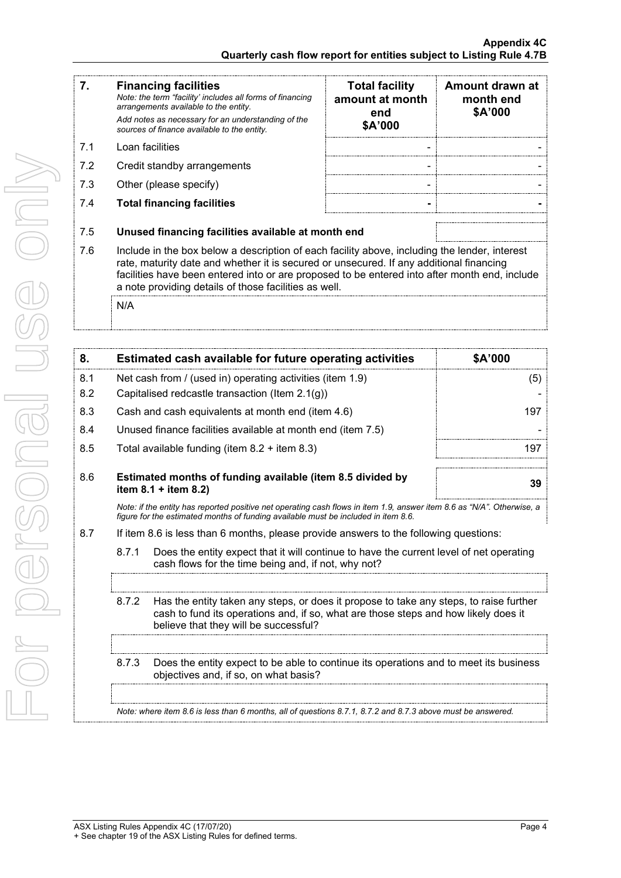|    | <b>Financing facilities</b><br>Note: the term "facility' includes all forms of financing<br>arrangements available to the entity.<br>Add notes as necessary for an understanding of the<br>sources of finance available to the entity. | <b>Total facility</b><br>amount at month<br>end<br>\$A'000 | Amount drawn at<br>month end<br>\$A'000 |
|----|----------------------------------------------------------------------------------------------------------------------------------------------------------------------------------------------------------------------------------------|------------------------------------------------------------|-----------------------------------------|
| 71 | ⊥oan facilities                                                                                                                                                                                                                        |                                                            |                                         |

- 7.2 Credit standby arrangements
- 7.3 Other (please specify)
- 7.4 **Total financing facilities - -**

| <b>Total facility</b><br>amount at month<br>end<br>\$A'000 | Amount drawn at<br>month end<br>\$A'000 |  |
|------------------------------------------------------------|-----------------------------------------|--|
|                                                            |                                         |  |
|                                                            |                                         |  |
|                                                            |                                         |  |
|                                                            |                                         |  |

- 7.5 **Unused financing facilities available at month end**
- 7.6 Include in the box below a description of each facility above, including the lender, interest rate, maturity date and whether it is secured or unsecured. If any additional financing facilities have been entered into or are proposed to be entered into after month end, include a note providing details of those facilities as well.

N/A

| 8.                                                                                 |                                                                                         | Estimated cash available for future operating activities                                                                                                                                                               | \$A'000 |
|------------------------------------------------------------------------------------|-----------------------------------------------------------------------------------------|------------------------------------------------------------------------------------------------------------------------------------------------------------------------------------------------------------------------|---------|
| 8.1                                                                                | Net cash from / (used in) operating activities (item 1.9)                               |                                                                                                                                                                                                                        | (5)     |
| 8.2                                                                                |                                                                                         | Capitalised redcastle transaction (Item 2.1(g))                                                                                                                                                                        |         |
| 8.3                                                                                |                                                                                         | Cash and cash equivalents at month end (item 4.6)                                                                                                                                                                      | 197     |
| 8.4                                                                                |                                                                                         | Unused finance facilities available at month end (item 7.5)                                                                                                                                                            |         |
| 8.5                                                                                |                                                                                         | Total available funding (item $8.2 +$ item $8.3$ )                                                                                                                                                                     | 197     |
| 8.6                                                                                | Estimated months of funding available (item 8.5 divided by<br>item $8.1 +$ item $8.2$ ) |                                                                                                                                                                                                                        | 39      |
| figure for the estimated months of funding available must be included in item 8.6. |                                                                                         | Note: if the entity has reported positive net operating cash flows in item 1.9, answer item 8.6 as "N/A". Otherwise, a                                                                                                 |         |
| 8.7                                                                                |                                                                                         | If item 8.6 is less than 6 months, please provide answers to the following questions:                                                                                                                                  |         |
|                                                                                    | 8.7.1                                                                                   | Does the entity expect that it will continue to have the current level of net operating<br>cash flows for the time being and, if not, why not?                                                                         |         |
|                                                                                    |                                                                                         |                                                                                                                                                                                                                        |         |
|                                                                                    | 8.7.2                                                                                   | Has the entity taken any steps, or does it propose to take any steps, to raise further<br>cash to fund its operations and, if so, what are those steps and how likely does it<br>believe that they will be successful? |         |
|                                                                                    |                                                                                         |                                                                                                                                                                                                                        |         |
|                                                                                    | 8.7.3                                                                                   | Does the entity expect to be able to continue its operations and to meet its business<br>objectives and, if so, on what basis?                                                                                         |         |

*Note: where item 8.6 is less than 6 months, all of questions 8.7.1, 8.7.2 and 8.7.3 above must be answered.*